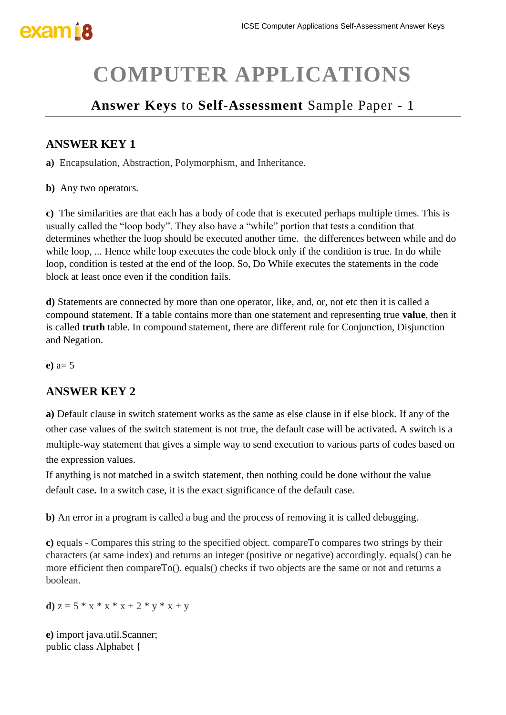# **COMPUTER APPLICATIONS**

### **Answer Keys** to **Self-Assessment** Sample Paper - 1

### **ANSWER KEY 1**

**a)** Encapsulation, Abstraction, Polymorphism, and Inheritance.

**b)** Any two operators.

**c)** The similarities are that each has a body of code that is executed perhaps multiple times. This is usually called the "loop body". They also have a "while" portion that tests a condition that determines whether the loop should be executed another time. the differences between while and do while loop, ... Hence while loop executes the code block only if the condition is true. In do while loop, condition is tested at the end of the loop. So, Do While executes the statements in the code block at least once even if the condition fails.

**d)** Statements are connected by more than one operator, like, and, or, not etc then it is called a compound statement. If a table contains more than one statement and representing true **value**, then it is called **truth** table. In compound statement, there are different rule for Conjunction, Disjunction and Negation.

**e)** a= 5

### **ANSWER KEY 2**

**a)** Default clause in switch statement works as the same as else clause in if else block. If any of the other case values of the switch statement is not true, the default case will be activated**.** A switch is a multiple-way statement that gives a simple way to send execution to various parts of codes based on the expression values.

If anything is not matched in a switch statement, then nothing could be done without the value default case**.** In a switch case, it is the exact significance of the default case.

**b)** An error in a program is called a bug and the process of removing it is called debugging.

**c)** equals - Compares this string to the specified object. compareTo compares two strings by their characters (at same index) and returns an integer (positive or negative) accordingly. equals() can be more efficient then compareTo(). equals() checks if two objects are the same or not and returns a boolean.

**d**)  $z = 5 * x * x * x + 2 * y * x + y$ 

**e)** import java.util.Scanner; public class Alphabet {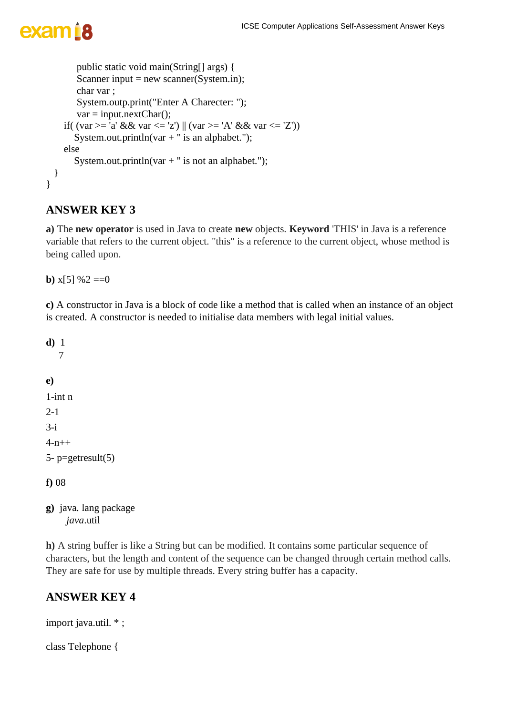```
public static void main(String[] args) {
       Scanner input = new scanner(System.in);
       char var ;
       System.outp.print("Enter A Charecter: ");
       var = input.nextChar();if( (var == 'a' && xar <= 'z') || (var >= 'A' && xar <= 'Z'))System.out.println(var + " is an alphabet.");
    else
      System.out.println(var + " is not an alphabet.");
 }
}
```
### **ANSWER KEY 3**

**a)** The **new operator** is used in Java to create **new** objects. **Keyword** 'THIS' in Java is a reference variable that refers to the current object. "this" is a reference to the current object, whose method is being called upon.

**b**)  $x[5]$  %2 ==0

**c)** A constructor in Java is a block of code like a method that is called when an instance of an object is created. A constructor is needed to initialise data members with legal initial values.

```
d) 1
    7
e) 
1-int n
2-1
3-i4-n++5- p = getresult(5)f) 08
```
**g)** java. lang package  *java*.util

**h)** A string buffer is like a String but can be modified. It contains some particular sequence of characters, but the length and content of the sequence can be changed through certain method calls. They are safe for use by multiple threads. Every string buffer has a capacity.

### **ANSWER KEY 4**

import java.util. \* ;

class Telephone {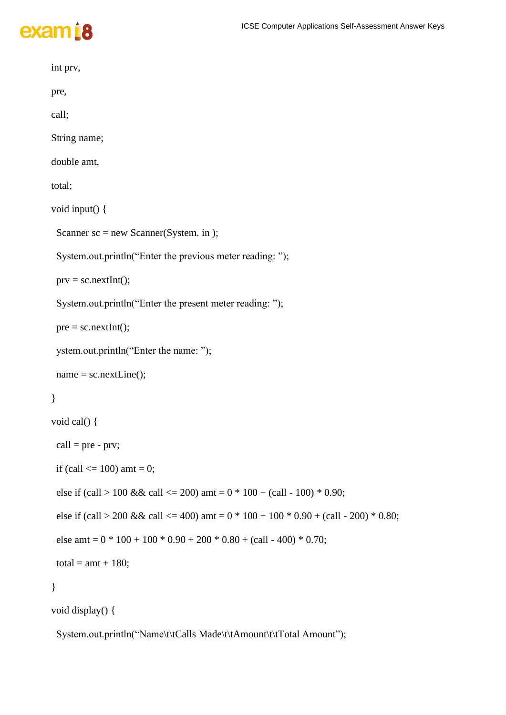#### ICSE Computer Applications Self-Assessment Answer Keys



```
 int prv,
 pre,
 call;
 String name;
 double amt,
 total;
 void input() {
 Scanner sc = new Scanner(System. in); System.out.println("Enter the previous meter reading: ");
 prv = sc.nextInt(); System.out.println("Enter the present meter reading: ");
 pre = sc.nextInt(); ystem.out.println("Enter the name: ");
 name = sc.nextLine(); }
 void cal() {
 call = pre - prv;if (call \leq 100) amt = 0;
 else if (call > 100 && call <= 200) amt = 0 * 100 + (call - 100) * 0.90;
 else if (call > 200 && call <= 400) amt = 0 * 100 + 100 * 0.90 + (call - 200) * 0.80;
 else amt = 0 * 100 + 100 * 0.90 + 200 * 0.80 + (call - 400) * 0.70;total = amt + 180;
 }
 void display() {
```
System.out.println("Name\t\tCalls Made\t\tAmount\t\tTotal Amount");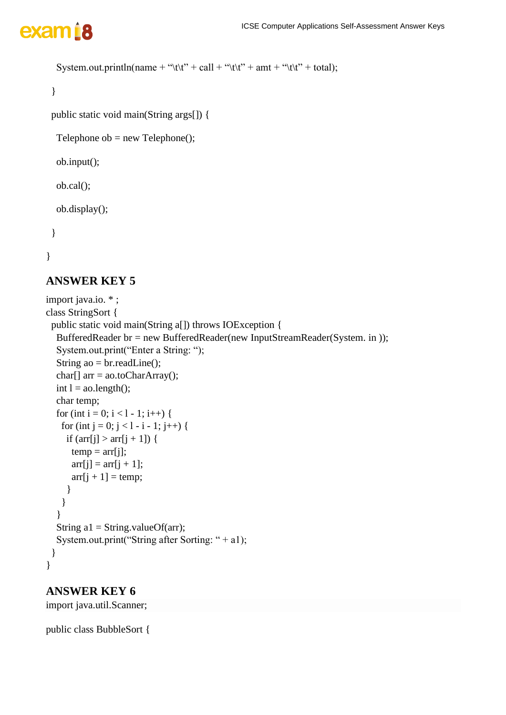```
System.out.println(name + "\t\t" + call + "\t\t" + amt + "\t\t" + total);
```
}

```
 public static void main(String args[]) {
```
Telephone ob  $=$  new Telephone();

ob.input();

ob.cal();

ob.display();

```
 }
```

```
}
```
### **ANSWER KEY 5**

```
import java.io. * ;
class StringSort {
  public static void main(String a[]) throws IOException {
   BufferedReader br = new BufferedReader(new InputStreamReader(System. in ));
   System.out.print("Enter a String: ");
   String ao = br.readLine();
  char[] arr = ao.toCharArray();
  int l = ao.length();
   char temp;
  for (int i = 0; i < l - 1; i++) {
    for (int j = 0; j < l - i - 1; j + + ) {
     if \text{(arr[i]} > \text{arr[i]} + 1\text{]}temp = arr[i];\ar[r][j] = \ar[r][j + 1];arr[j + 1] = temp; }
     }
    }
  String a1 = String.valueOf(arr);
  System.out.print("String after Sorting: " + a1);
  }
}
```
### **ANSWER KEY 6**

import java.util.Scanner;

public class BubbleSort {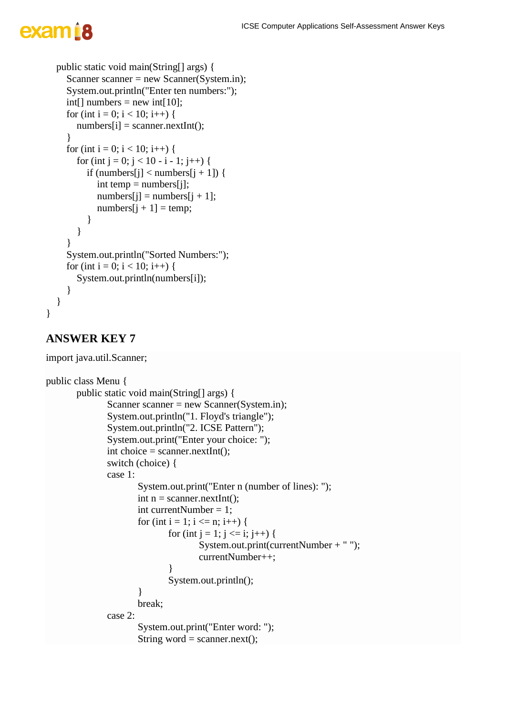# exam B

```
 public static void main(String[] args) {
  Scanner scanner = new Scanner(System.in);
   System.out.println("Enter ten numbers:");
  int[] numbers = new int[10];
  for (int i = 0; i < 10; i++) {
     numbers[i] = scanner.nextInt(); }
  for (int i = 0; i < 10; i++) {
     for (int j = 0; j < 10 - i - 1; j++) {
       if (numbers[j] < numbers[j + 1]) {
          int temp = numbers[j];
          numbers[j] = numbers[j + 1];numbers[i + 1] = temp; }
      }
    }
   System.out.println("Sorted Numbers:");
  for (int i = 0; i < 10; i++) {
      System.out.println(numbers[i]);
   }
 }
```
### **ANSWER KEY 7**

}

import java.util.Scanner;

```
public class Menu {
       public static void main(String[] args) {
               Scanner scanner = new Scanner(System.in);
               System.out.println("1. Floyd's triangle");
               System.out.println("2. ICSE Pattern");
               System.out.print("Enter your choice: ");
               int choice = scanner.nextInt();
               switch (choice) {
               case 1:
                       System.out.print("Enter n (number of lines): ");
                       int n = \text{scanner.nextInt}();
                       int currentNumber = 1;
                       for (int i = 1; i <= n; i++) {
                              for (int j = 1; j <= i; j ++) {
                                      System.out.print(currentNumber + " ");
                                      currentNumber++;
                               }
                              System.out.println();
                       }
                       break;
               case 2:
                       System.out.print("Enter word: ");
                       String word = scanner.next();
```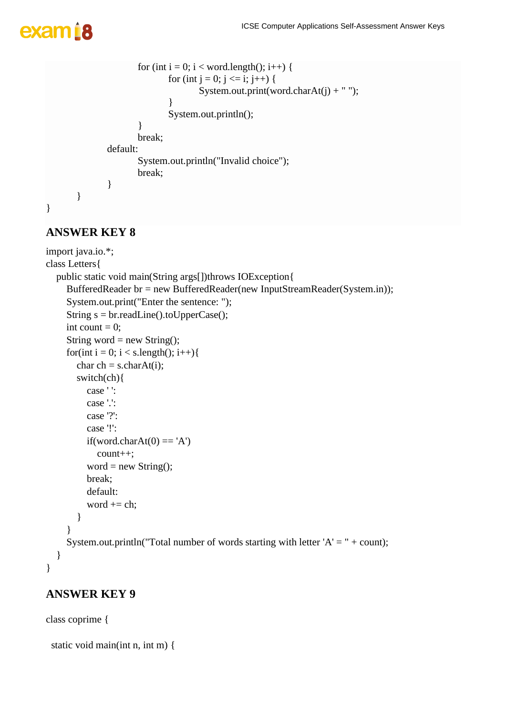## exam B

```
for (int i = 0; i < word.length(); i++) {
                               for (int j = 0; j <= i; j++) {
                                       System.out.print(word.charAt(j) + "");
                               }
                               System.out.println();
                       }
                       break;
               default:
                       System.out.println("Invalid choice");
                       break;
                }
        }
}
```
### **ANSWER KEY 8**

```
import java.io.*;
class Letters{
   public static void main(String args[])throws IOException{
      BufferedReader br = new BufferedReader(new InputStreamReader(System.in));
      System.out.print("Enter the sentence: ");
      String s = br.readLine().toUpperCase();
     int count = 0;
     String word = new String();
     for(int i = 0; i < s.length(); i++){
       char ch = s.charAt(i);
        switch(ch){
           case ' ':
           case '.':
           case '?':
           case '!':
          if(word.charAt(0) == 'A')
              count++;
          word = new String();
           break;
           default:
          word += ch;
         }
      }
     System.out.println("Total number of words starting with letter 'A' = " + count);
   }
}
```
### **ANSWER KEY 9**

class coprime {

```
 static void main(int n, int m) {
```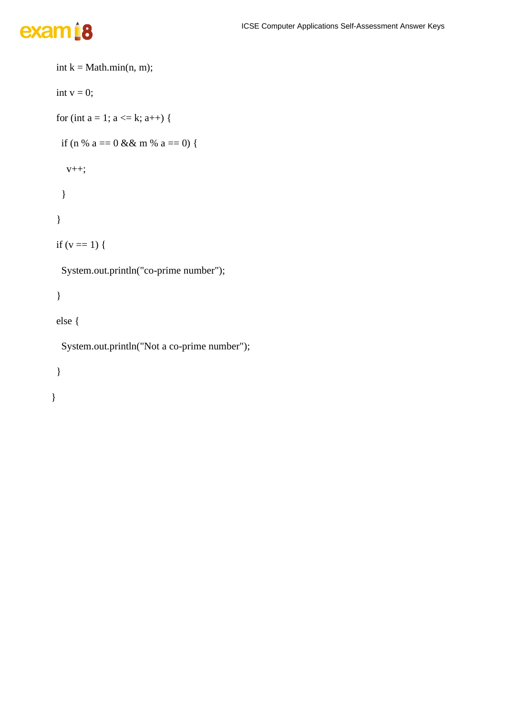# exam<sup>18</sup>

```
int k = Math.min(n, m);int v = 0;
for (int a = 1; a \leq k; a^{++}) {
 if (n % a = 0 & 0 & 0 \text{ m} % a = 0) {
   v++;
  }
 }
if (v == 1) {
  System.out.println("co-prime number");
 }
 else {
  System.out.println("Not a co-prime number");
```
 } }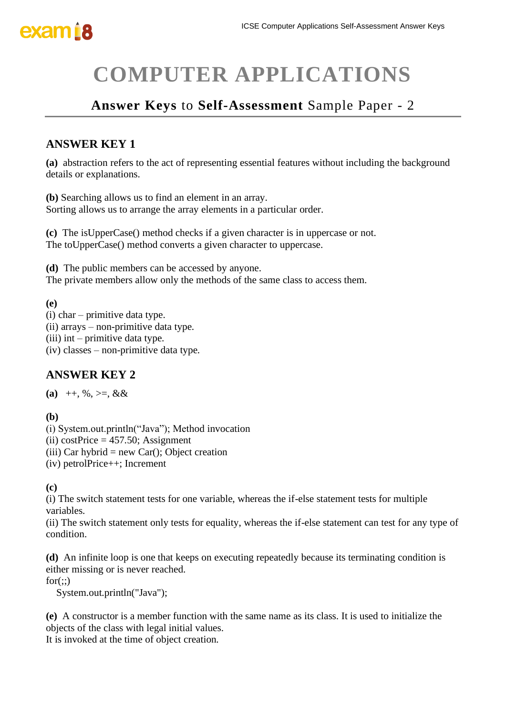# **COMPUTER APPLICATIONS**

### **Answer Keys** to **Self-Assessment** Sample Paper - 2

### **ANSWER KEY 1**

**(a)** abstraction refers to the act of representing essential features without including the background details or explanations.

**(b)** Searching allows us to find an element in an array. Sorting allows us to arrange the array elements in a particular order.

**(c)** The isUpperCase() method checks if a given character is in uppercase or not. The toUpperCase() method converts a given character to uppercase.

**(d)** The public members can be accessed by anyone.

The private members allow only the methods of the same class to access them.

#### **(e)**

- (i) char primitive data type.
- (ii) arrays non-primitive data type.
- (iii) int primitive data type.
- (iv) classes non-primitive data type.

### **ANSWER KEY 2**

(a)  $++$ , %, >=, &&

**(b)**

(i) System.out.println("Java"); Method invocation

- (ii) costPrice  $= 457.50$ ; Assignment
- (iii) Car hybrid = new Car(); Object creation
- (iv) petrolPrice++; Increment

#### **(c)**

(i) The switch statement tests for one variable, whereas the if-else statement tests for multiple variables.

(ii) The switch statement only tests for equality, whereas the if-else statement can test for any type of condition.

**(d)** An infinite loop is one that keeps on executing repeatedly because its terminating condition is either missing or is never reached.

 $for(:.)$ 

System.out.println("Java");

**(e)** A constructor is a member function with the same name as its class. It is used to initialize the objects of the class with legal initial values.

It is invoked at the time of object creation.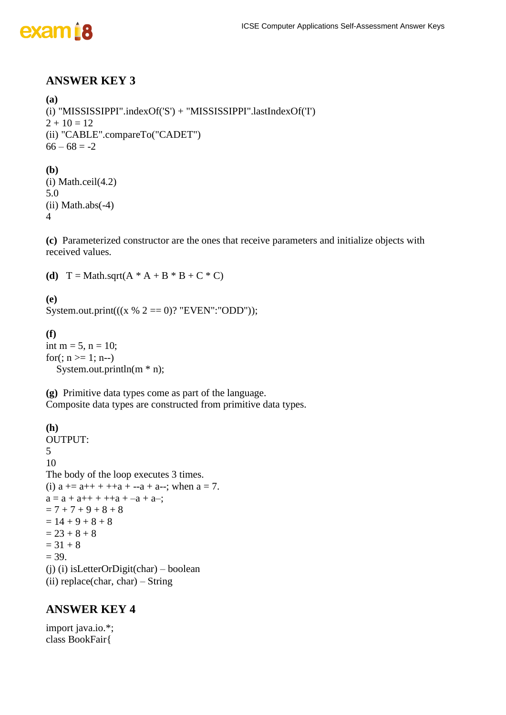

### **ANSWER KEY 3**

```
(a) 
(i) "MISSISSIPPI".indexOf('S') + "MISSISSIPPI".lastIndexOf('I')
2 + 10 = 12(ii) "CABLE".compareTo("CADET")
66 - 68 = -2(b)
(i) Math.ceil(4.2)
5.0
(ii) Math.abs(-4)
4
```
**(c)** Parameterized constructor are the ones that receive parameters and initialize objects with received values.

**(d)**  $T = Math.sqrt(A * A + B * B + C * C)$ 

**(e)** System.out.print( $((x % 2 == 0)$ ? "EVEN": "ODD"));

**(f)** int m =  $5$ , n = 10; for(;  $n \ge 1$ ; n--) System.out.println(m \* n);

**(g)** Primitive data types come as part of the language. Composite data types are constructed from primitive data types.

```
(h)
OUTPUT:
5
10
The body of the loop executes 3 times.
(i) a == a+++++a+--a+ a--; when a = 7.
a = a + a + + + a + a - a + a-;
= 7 + 7 + 9 + 8 + 8= 14 + 9 + 8 + 8= 23 + 8 + 8= 31 + 8= 39.(j) (i) isLetterOrDigit(char) – boolean
(ii) replace(char, char) – String
```
### **ANSWER KEY 4**

import java.io.\*; class BookFair{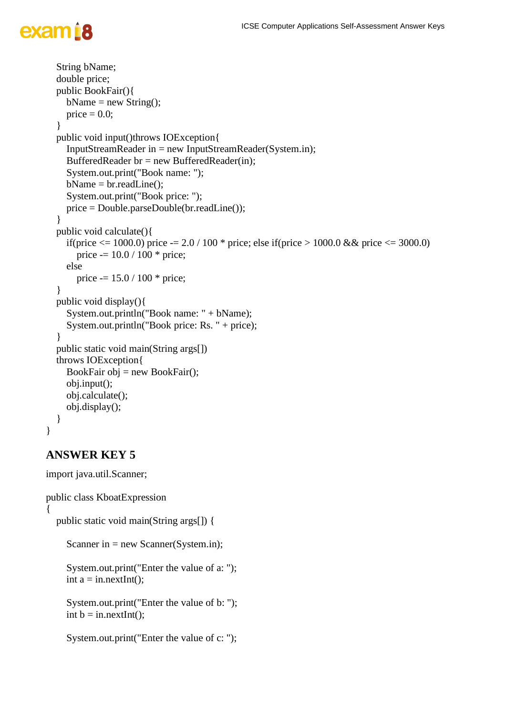# exam B

```
 String bName;
   double price;
   public BookFair(){
    bName = new String();price = 0.0;
   }
   public void input()throws IOException{
     InputStreamReader in = new InputStreamReader(System.in);
     BufferedReader br = new BufferedReader(in);
     System.out.print("Book name: ");
    bName = br.readLine(); System.out.print("Book price: ");
     price = Double.parseDouble(br.readLine());
   }
   public void calculate(){
    if(price \le = 1000.0) price -= 2.0 / 100 * price; else if(price > 1000.0 & & price \le 3000.0)
        price -= 10.0 / 100 * price;
     else
       price = 15.0 / 100 * price;
   }
   public void display(){
     System.out.println("Book name: " + bName);
     System.out.println("Book price: Rs. " + price);
   }
   public static void main(String args[])
   throws IOException{
    BookFair obj = new BookFair();
     obj.input();
     obj.calculate();
     obj.display();
   }
}
```
### **ANSWER KEY 5**

import java.util.Scanner;

```
public class KboatExpression
\left\{ \right. public static void main(String args[]) {
     Scanner in = new Scanner(System.in);
      System.out.print("Enter the value of a: ");
     int a = in.nextInt();
      System.out.print("Enter the value of b: ");
     int b = in.nextInt();
```

```
 System.out.print("Enter the value of c: ");
```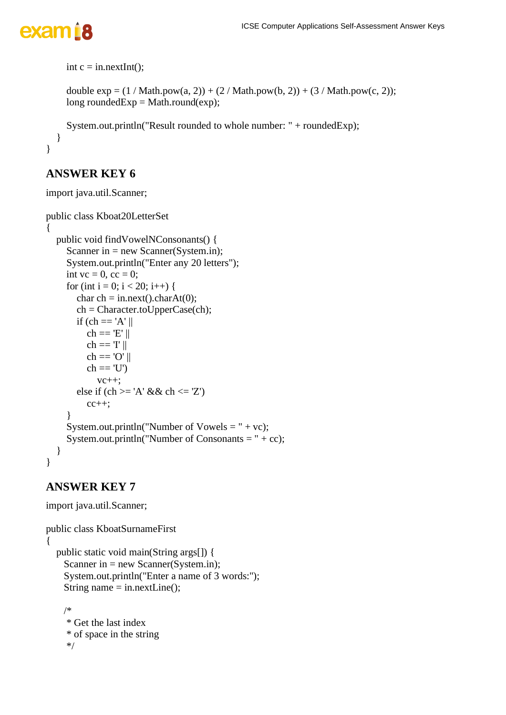}

```
int c = in.nextInt();
```

```
double exp = (1 / Math.pow(a, 2)) + (2 / Math.pow(b, 2)) + (3 / Math.pow(c, 2));long roundedExp = Math.round(exp);
```

```
 System.out.println("Result rounded to whole number: " + roundedExp);
 }
```
### **ANSWER KEY 6**

import java.util.Scanner;

```
public class Kboat20LetterSet
{
   public void findVowelNConsonants() {
     Scanner in = new Scanner(System.in);
      System.out.println("Enter any 20 letters");
     int vc = 0, cc = 0;
     for (int i = 0; i < 20; i++) {
       char ch = in.next().charAt(0);
        ch = Character.toUpperCase(ch);
       if (ch == 'A' \parallelch == 'E' ||ch == T \parallelch == 'O' \parallelch == 'U'vc++;
       else if (ch \geq 'A' \&\& ch \leq 'Z')cc++; }
     System.out.println("Number of Vowels = " + vc);
     System.out.println("Number of Consonants = " + cc);
   }
}
```

```
import java.util.Scanner;
```

```
public class KboatSurnameFirst
{
   public static void main(String args[]) {
    Scanner in = new Scanner(System.in);
     System.out.println("Enter a name of 3 words:");
     String name = in.nextLine();
     /*
```

```
 * Get the last index
 * of space in the string
 */
```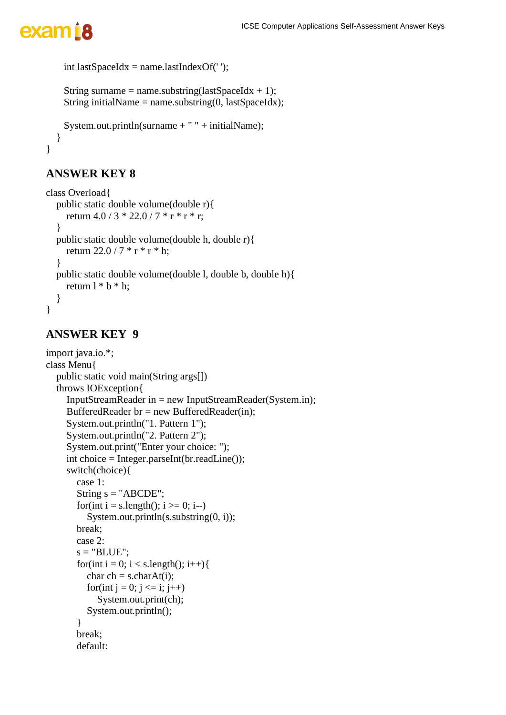```
int lastSpaceIdx = name.lastIndexOf('');
```

```
String surname = name.substring(lastSpaceIdx + 1);
String initialName = name.substring(0, lastSpaceIdx);
```

```
System.out.println(surname + " + initialName);
   }
}
```
## **ANSWER KEY 8**

```
class Overload{
   public static double volume(double r){
     return 4.0 / 3 * 22.0 / 7 * r * r * r; }
   public static double volume(double h, double r){
     return 22.0 / 7 * r * r * h;
   }
   public static double volume(double l, double b, double h){
     return l * b * h;
   }
}
```

```
import java.io.*;
class Menu{
   public static void main(String args[])
   throws IOException{
      InputStreamReader in = new InputStreamReader(System.in);
      BufferedReader br = new BufferedReader(in);
      System.out.println("1. Pattern 1");
      System.out.println("2. Pattern 2");
      System.out.print("Enter your choice: ");
      int choice = Integer.parseInt(br.readLine());
      switch(choice){
        case 1:
       String s = "ABCDE";for(int i = s.length(); i \ge 0; i--)
          System.out.println(s.substring(0, i));
        break;
        case 2:
       s = "BLE";for(int i = 0; i < s.length(); i++){
          char ch = s.charAt(i);
          for(int j = 0; j <= i; j++)
              System.out.print(ch);
           System.out.println();
         }
        break;
        default:
```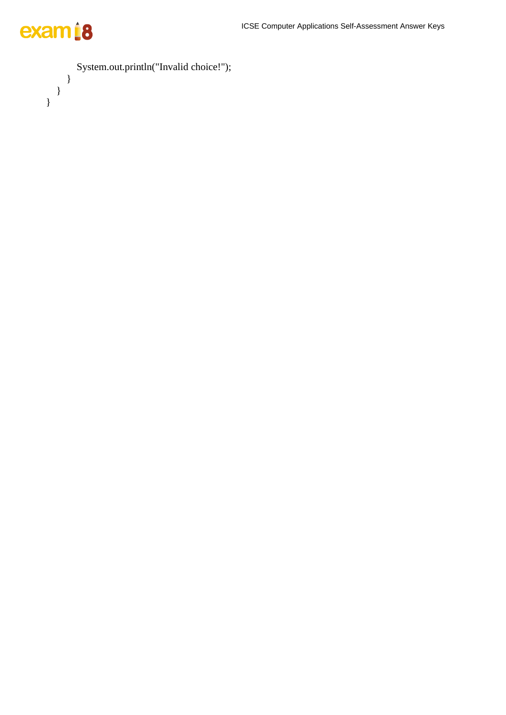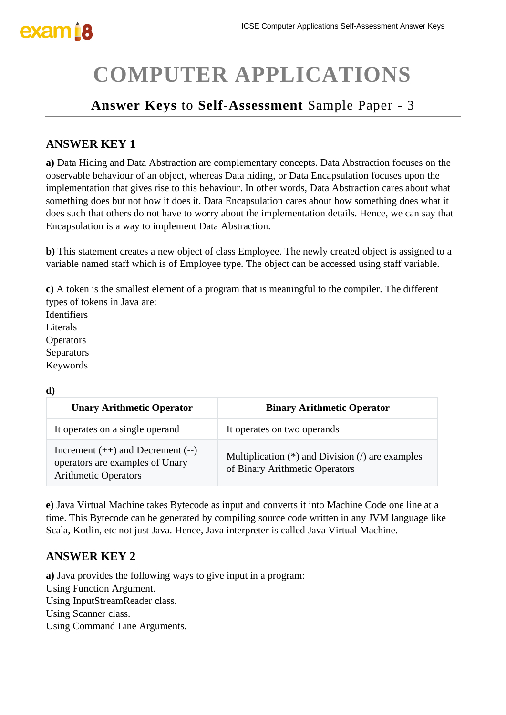# **COMPUTER APPLICATIONS**

### **Answer Keys** to **Self-Assessment** Sample Paper - 3

### **ANSWER KEY 1**

**a)** Data Hiding and Data Abstraction are complementary concepts. Data Abstraction focuses on the observable behaviour of an object, whereas Data hiding, or Data Encapsulation focuses upon the implementation that gives rise to this behaviour. In other words, Data Abstraction cares about what something does but not how it does it. Data Encapsulation cares about how something does what it does such that others do not have to worry about the implementation details. Hence, we can say that Encapsulation is a way to implement Data Abstraction.

**b)** This statement creates a new object of class Employee. The newly created object is assigned to a variable named staff which is of Employee type. The object can be accessed using staff variable.

**c)** A token is the smallest element of a program that is meaningful to the compiler. The different types of tokens in Java are:

Identifiers Literals **Operators** Separators Keywords

**d)**

| uн,                                                                                                    |                                                                                       |  |
|--------------------------------------------------------------------------------------------------------|---------------------------------------------------------------------------------------|--|
| <b>Unary Arithmetic Operator</b>                                                                       | <b>Binary Arithmetic Operator</b>                                                     |  |
| It operates on a single operand                                                                        | It operates on two operands                                                           |  |
| Increment $(++)$ and Decrement $(-)$<br>operators are examples of Unary<br><b>Arithmetic Operators</b> | Multiplication $(*)$ and Division $()$ are examples<br>of Binary Arithmetic Operators |  |

**e)** Java Virtual Machine takes Bytecode as input and converts it into Machine Code one line at a time. This Bytecode can be generated by compiling source code written in any JVM language like Scala, Kotlin, etc not just Java. Hence, Java interpreter is called Java Virtual Machine.

### **ANSWER KEY 2**

**a)** Java provides the following ways to give input in a program:

Using Function Argument.

Using InputStreamReader class.

Using Scanner class.

Using Command Line Arguments.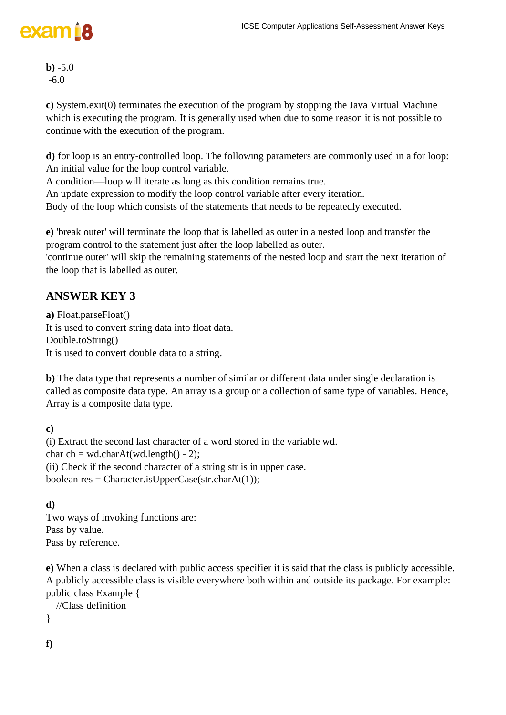**b)** -5.0 -6.0

**c)** System.exit(0) terminates the execution of the program by stopping the Java Virtual Machine which is executing the program. It is generally used when due to some reason it is not possible to continue with the execution of the program.

**d)** for loop is an entry-controlled loop. The following parameters are commonly used in a for loop: An initial value for the loop control variable.

A condition—loop will iterate as long as this condition remains true.

An update expression to modify the loop control variable after every iteration.

Body of the loop which consists of the statements that needs to be repeatedly executed.

**e)** 'break outer' will terminate the loop that is labelled as outer in a nested loop and transfer the program control to the statement just after the loop labelled as outer.

'continue outer' will skip the remaining statements of the nested loop and start the next iteration of the loop that is labelled as outer.

### **ANSWER KEY 3**

**a)** Float.parseFloat() It is used to convert string data into float data. Double.toString() It is used to convert double data to a string.

**b)** The data type that represents a number of similar or different data under single declaration is called as composite data type. An array is a group or a collection of same type of variables. Hence, Array is a composite data type.

**c)** 

(i) Extract the second last character of a word stored in the variable wd. char ch = wd.charAt(wd.length() - 2); (ii) Check if the second character of a string str is in upper case. boolean res = Character.isUpperCase(str.charAt(1));

### **d)**

Two ways of invoking functions are: Pass by value. Pass by reference.

**e)** When a class is declared with public access specifier it is said that the class is publicly accessible. A publicly accessible class is visible everywhere both within and outside its package. For example: public class Example {

```
 //Class definition
```
}

**f)**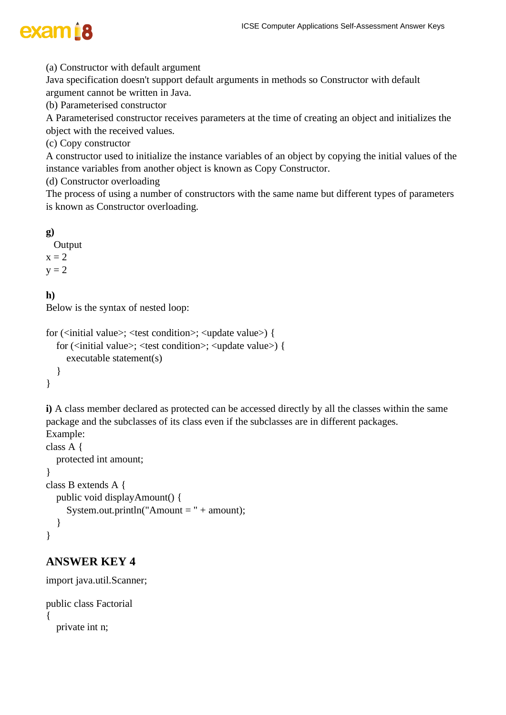(a) Constructor with default argument

Java specification doesn't support default arguments in methods so Constructor with default argument cannot be written in Java.

(b) Parameterised constructor

A Parameterised constructor receives parameters at the time of creating an object and initializes the object with the received values.

(c) Copy constructor

A constructor used to initialize the instance variables of an object by copying the initial values of the instance variables from another object is known as Copy Constructor.

(d) Constructor overloading

The process of using a number of constructors with the same name but different types of parameters is known as Constructor overloading.

### **g)**

 Output  $x = 2$  $y = 2$ 

### **h)**

Below is the syntax of nested loop:

```
for (<initial value>; <test condition>; <update value>) {
   for (<initial value>; <test condition>; <update value>) {
      executable statement(s)
   }
}
```
**i)** A class member declared as protected can be accessed directly by all the classes within the same package and the subclasses of its class even if the subclasses are in different packages. Example:

```
class A {
   protected int amount;
}
class B extends A {
   public void displayAmount() {
      System.out.println("Amount = " + amount);
   }
}
```

```
import java.util.Scanner;
public class Factorial
{
   private int n;
```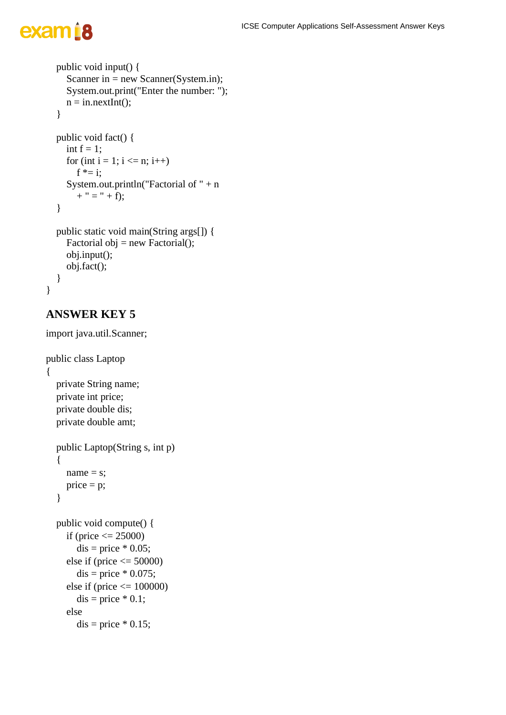```
 public void input() {
     Scanner in = new Scanner(System.in);
      System.out.print("Enter the number: ");
     n = in.nextInt(); }
   public void fact() {
    int f = 1;
     for (int i = 1; i <= n; i++)
       f^* = i:
      System.out.println("Factorial of " + n 
       + " = " + f);
   }
   public static void main(String args[]) {
     Factorial obj = new Factorial();
      obj.input();
      obj.fact();
   }
}
```
### **ANSWER KEY 5**

import java.util.Scanner;

```
public class Laptop
{
   private String name;
   private int price;
   private double dis;
   private double amt;
   public Laptop(String s, int p)
   {
     name = s;
     price = p; }
   public void compute() {
     if (price \leq 25000)
        dis = price * 0.05;else if (price \leq 50000)
        dis = price * 0.075;else if (price \leq 100000)
        dis = price * 0.1; else
        dis = price * 0.15;
```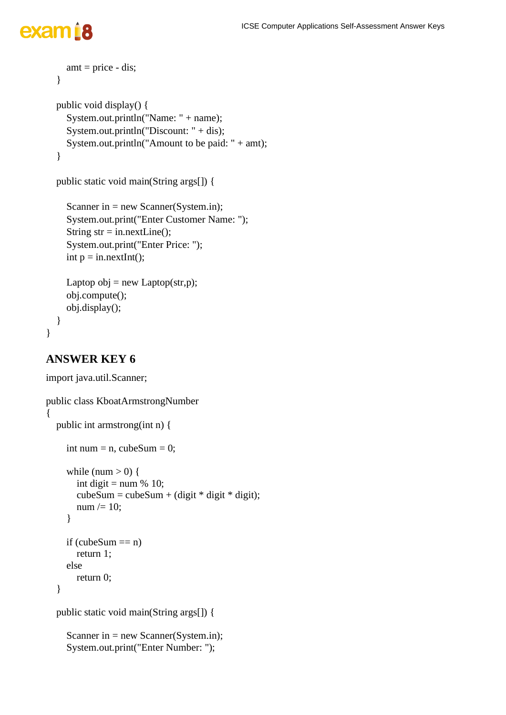#### ICSE Computer Applications Self-Assessment Answer Keys

# exam<sub>18</sub>

```
amt = price - dis; }
 public void display() {
   System.out.println("Name: " + name);
   System.out.println("Discount: " + dis);
   System.out.println("Amount to be paid: " + amt);
 }
 public static void main(String args[]) {
  Scanner in = new Scanner(System.in);
   System.out.print("Enter Customer Name: ");
  String str = in.nextLine;
```
 System.out.print("Enter Price: "); int  $p = in.nextInt()$ ;

```
Laptop obj = new Laptop(str,p);
 obj.compute();
 obj.display();
```

```
}
```
}

```
import java.util.Scanner;
public class KboatArmstrongNumber
{
   public int armstrong(int n) {
     int num = n, cubeSum = 0;
     while (num > 0) {
       int digit = num % 10;
       cubeSum = cubeSum + (digit * digit * digit);num /= 10;
      }
     if (cubeSum == n)
        return 1;
      else
        return 0;
   }
   public static void main(String args[]) {
```

```
Scanner in = new Scanner(System.in);
 System.out.print("Enter Number: ");
```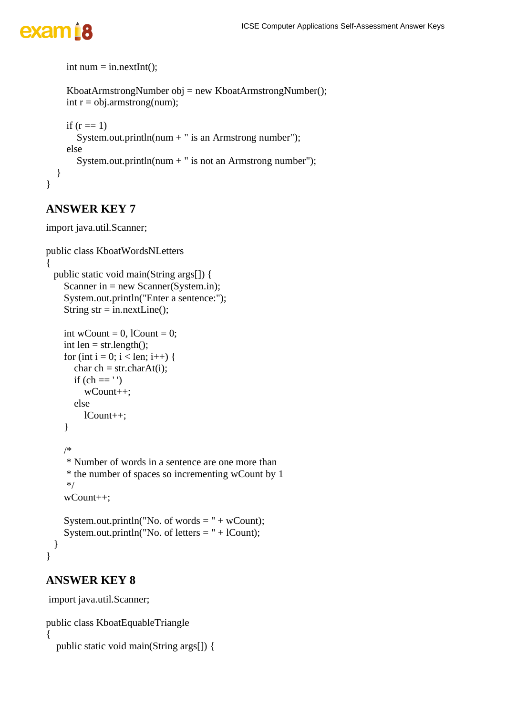```
int num = in.nextInt();
    KboatArmstrongNumber obj = new KboatArmstrongNumber();
    int r = obj.armstrong(num);if (r == 1)System.out.println(num + " is an Armstrong number");
     else
      System.out.println(num + " is not an Armstrong number");
   }
}
```
### **ANSWER KEY 7**

import java.util.Scanner;

```
public class KboatWordsNLetters
{
  public static void main(String args[]) {
    Scanner in = new Scanner(System.in);
     System.out.println("Enter a sentence:");
    String str = in.nextLine;
    int wCount = 0, lCount = 0;
    int len = str.length();
    for (int i = 0; i < len; i++) {
      char ch = str.charAt(i);if (ch =='') wCount++;
       else
          lCount++;
     }
     /*
      * Number of words in a sentence are one more than
      * the number of spaces so incrementing wCount by 1
      */
     wCount++;
    System.out.println("No. of words = " + wCount);
    System.out.println("No. of letters = " + lCount);
   }
```
### **ANSWER KEY 8**

}

import java.util.Scanner;

```
public class KboatEquableTriangle
{
   public static void main(String args[]) {
```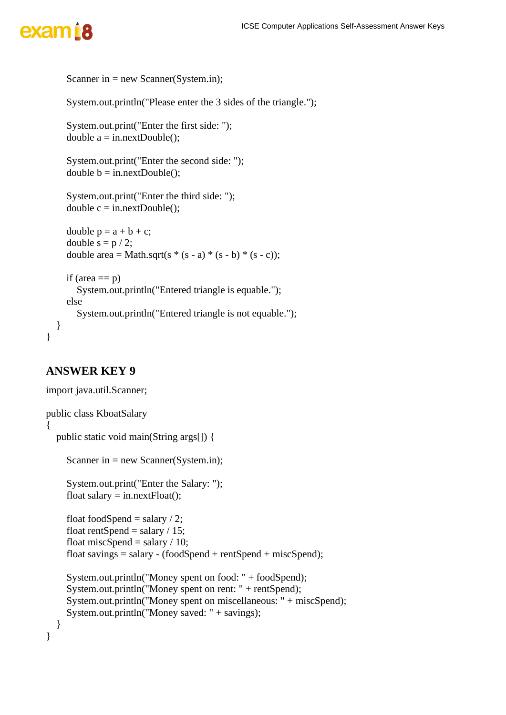```
Scanner in = new Scanner(System.in);
   System.out.println("Please enter the 3 sides of the triangle.");
   System.out.print("Enter the first side: ");
  double a = \text{in.nextDouble}():
   System.out.print("Enter the second side: ");
  double b = in.nextDouble():
   System.out.print("Enter the third side: ");
  double c = in.nextDouble;
  double p = a + b + c;
  double s = p / 2;
  double area = Math.sqrt(s *(s - a) * (s - b) * (s - c));
  if (area == p)
      System.out.println("Entered triangle is equable.");
   else 
     System.out.println("Entered triangle is not equable.");
 }
```
### **ANSWER KEY 9**

```
import java.util.Scanner;
public class KboatSalary
{
   public static void main(String args[]) {
     Scanner in = new Scanner(System.in);
      System.out.print("Enter the Salary: ");
     float salary = in.nextFloat();
     float foodSpend = salary / 2;
     float rentSpend = salary / 15;
     float miscSpend = salary / 10;
     float savings = salary - (foodSpend + rentSpend + miscSpend);
      System.out.println("Money spent on food: " + foodSpend);
      System.out.println("Money spent on rent: " + rentSpend);
      System.out.println("Money spent on miscellaneous: " + miscSpend);
      System.out.println("Money saved: " + savings);
   }
}
```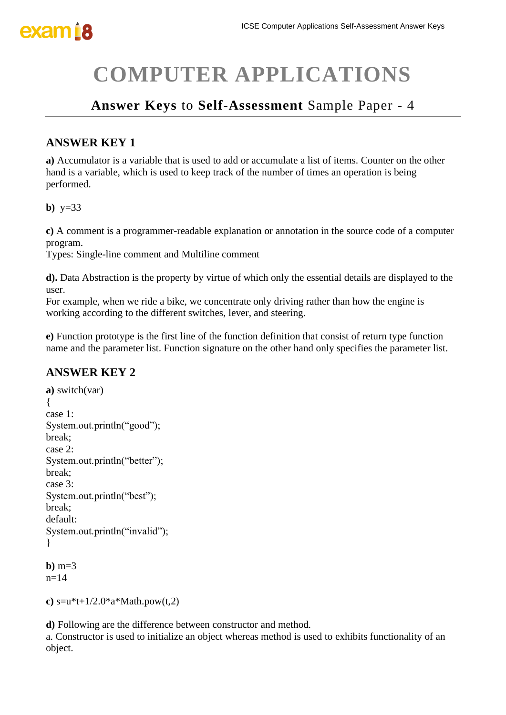# **COMPUTER APPLICATIONS**

### **Answer Keys** to **Self-Assessment** Sample Paper - 4

### **ANSWER KEY 1**

**a)** Accumulator is a variable that is used to add or accumulate a list of items. Counter on the other hand is a variable, which is used to keep track of the number of times an operation is being performed.

**b)** y=33

**c)** A comment is a programmer-readable explanation or annotation in the source code of a computer program.

Types: Single-line comment and Multiline comment

**d).** Data Abstraction is the property by virtue of which only the essential details are displayed to the user.

For example, when we ride a bike, we concentrate only driving rather than how the engine is working according to the different switches, lever, and steering.

**e)** Function prototype is the first line of the function definition that consist of return type function name and the parameter list. Function signature on the other hand only specifies the parameter list.

### **ANSWER KEY 2**

```
a) switch(var)
{
case 1:
System.out.println("good");
break;
case 2:
System.out.println("better");
break;
case 3:
System.out.println("best");
break;
default:
System.out.println("invalid");
}
```
 $h)$  m=3  $n=14$ 

```
c) s=u^*t+1/2.0^*a^*Math.pow(t,2)
```
**d)** Following are the difference between constructor and method.

a. Constructor is used to initialize an object whereas method is used to exhibits functionality of an object.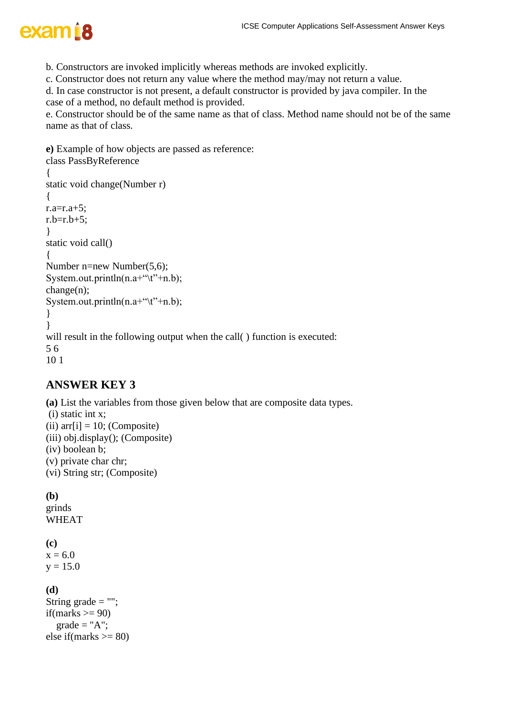

- b. Constructors are invoked implicitly whereas methods are invoked explicitly.
- c. Constructor does not return any value where the method may/may not return a value.

d. In case constructor is not present, a default constructor is provided by java compiler. In the case of a method, no default method is provided.

e. Constructor should be of the same name as that of class. Method name should not be of the same name as that of class.

```
e) Example of how objects are passed as reference:
class PassByReference
{
static void change(Number r)
{
r.a=r.a+5;
r.b=r.b+5:
}
static void call()
{
Number n=new Number(5,6);
System.out.println(n.a+"\t"+n.b);
change(n);
System.out.println(n.a+"\t"+n.b);
}
}
will result in the following output when the call() function is executed:
5 6
10 1
```
### **ANSWER KEY 3**

**(a)** List the variables from those given below that are composite data types. (i) static int x; (ii)  $arr[i] = 10$ ; (Composite) (iii) obj.display(); (Composite) (iv) boolean b; (v) private char chr; (vi) String str; (Composite)

**(b)**

grinds WHEAT

**(c)**  $x = 6.0$ 

 $y = 15.0$ 

#### **(d)**

```
String grade = "";
if(marks \geq 90)
  grade = "A";else if(marks \geq 80)
```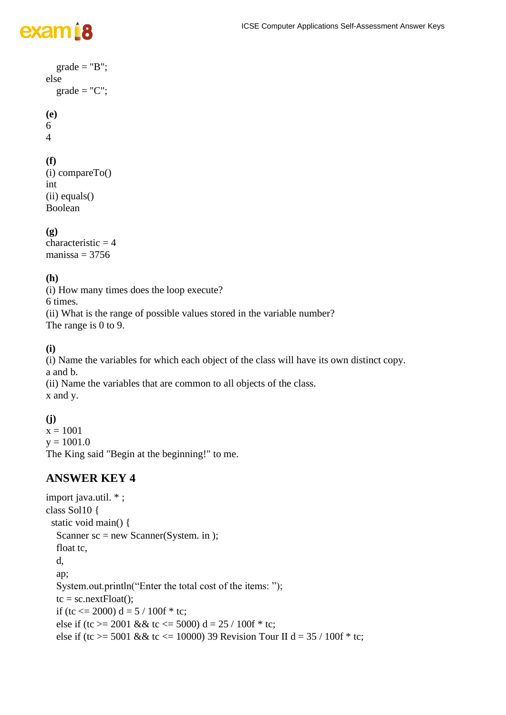#### ICSE Computer Applications Self-Assessment Answer Keys

# exam<sub>18</sub>

```
grade = "B";
else
  grade = "C";(e)
6
4
```
#### **(f)**

```
(i) compareTo()
int
(ii) equals()
Boolean
```
#### **(g)**

characteristic  $= 4$ manissa  $=$  3756

### **(h)**

(i) How many times does the loop execute?

6 times.

(ii) What is the range of possible values stored in the variable number?

The range is 0 to 9.

#### **(i)**

(i) Name the variables for which each object of the class will have its own distinct copy. a and b.

(ii) Name the variables that are common to all objects of the class. x and y.

### **(j)**

 $x = 1001$  $y = 1001.0$ The King said "Begin at the beginning!" to me.

```
import java.util. * ;
class Sol10 {
  static void main() {
  Scanner sc = new Scanner(System. in);
   float tc,
   d,
   ap;
   System.out.println("Enter the total cost of the items: ");
  tc = sc.nextFloat();if (tc \langle 2000 \rangle d = 5 / 100f * tc;
  else if (tc >= 2001 && tc <= 5000) d = 25 / 100f * tc;
  else if (tc >= 5001 && tc <= 10000) 39 Revision Tour II d = 35 / 100f * tc;
```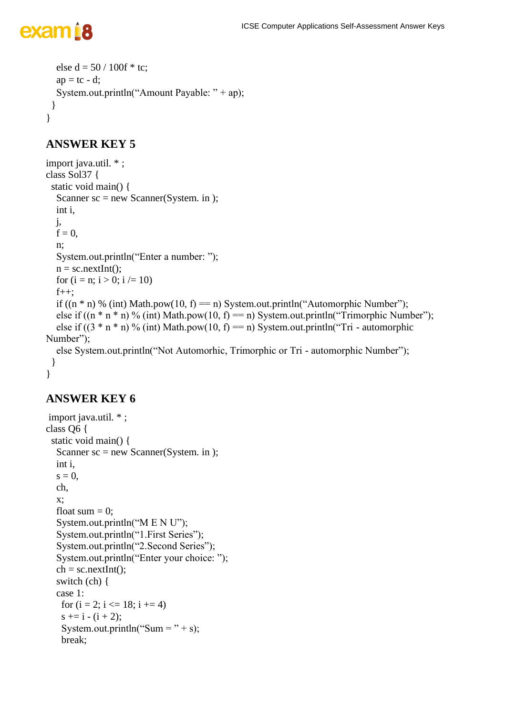```
else d = 50 / 100f * tc;ap = tc - d; System.out.println("Amount Payable: " + ap);
  }
}
```
### **ANSWER KEY 5**

```
import java.util. * ;
class Sol37 {
  static void main() {
  Scanner sc = new Scanner(System. in); int i,
   j,
  f = 0,
   n;
   System.out.println("Enter a number: ");
  n =sc.nextInt();
  for (i = n; i > 0; i \neq 10)f_{++};
  if ((n * n) % (int) Math.pow(10, f) = n) System.out.println("Automorphic Number");
  else if ((n * n * n) \% (int) Math.pow(10, f) = n) System.out.println("Trimorphic Number");
  else if ((3 * n * n) \% (int) Math.pow(10, f) = n) System.out.println("Tri - automorphic
Number");
   else System.out.println("Not Automorhic, Trimorphic or Tri - automorphic Number");
  }
}
```

```
import java.util. * ;
class Q6 {
  static void main() {
  Scanner sc = new Scanner(System. in); int i,
  s = 0,
   ch,
   x;
  float sum = 0;
   System.out.println("M E N U");
   System.out.println("1.First Series");
   System.out.println("2.Second Series");
   System.out.println("Enter your choice: ");
  ch = sc.nextInt(); switch (ch) {
   case 1:
   for (i = 2; i \le 18; i \ne 4)s \neq i - (i + 2);System.out.println("Sum = " + s);
    break;
```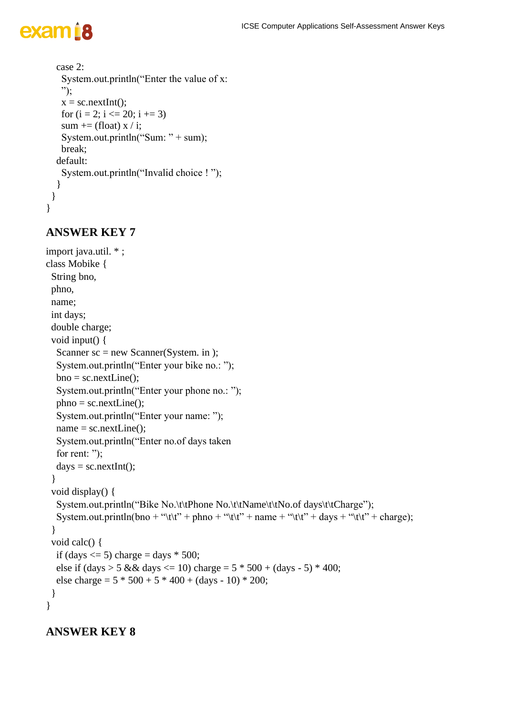}

```
 case 2:
   System.out.println("Enter the value of x:
   ");
  x = sc.nextInt();for (i = 2; i \le 20; i += 3)sum += (float) x / i;
  System.out.println("Sum: " + sum);
   break;
  default:
   System.out.println("Invalid choice ! ");
  }
 }
```
### **ANSWER KEY 7**

```
import java.util. * ;
class Mobike {
  String bno,
  phno,
  name;
  int days;
  double charge;
  void input() {
  Scanner sc = new Scanner(System. in); System.out.println("Enter your bike no.: ");
  bno = sc.nextLine;
   System.out.println("Enter your phone no.: ");
  phno = sc.nextLine(); System.out.println("Enter your name: ");
  name = sc.nextLine(); System.out.println("Enter no.of days taken
  for rent: ");
  days = sc.nextInt(); }
  void display() {
  System.out.println("Bike No.\t\tPhone No.\t\tName\t\tNo.of days\t\tCharge");
  System.out.println(bno + "\t\t" + phno + "\t\t" + name + "\t\t" + days + "\t\t" + charge);
  }
  void calc() {
  if (days \leq 5) charge = days * 500;
  else if (\text{days} > 5 \&\& \text{days} <= 10) \text{ charge} = 5 * 500 + (\text{days} - 5) * 400;else charge = 5 * 500 + 5 * 400 + (days - 10) * 200;
  }
}
```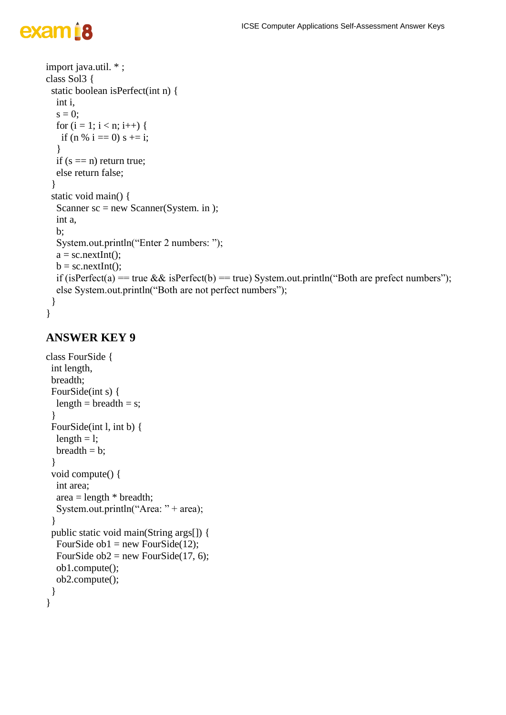#### ICSE Computer Applications Self-Assessment Answer Keys

# exam<sub>18</sub>

```
import java.util. * ;
class Sol3 {
  static boolean isPerfect(int n) {
   int i,
  s = 0:
  for (i = 1; i < n; i++) {
   if (n % i == 0) s += i;
    }
  if (s == n) return true;
   else return false;
 }
  static void main() {
  Scanner sc = new Scanner(System. in );
   int a,
   b;
   System.out.println("Enter 2 numbers: ");
  a = sc.nextInt();
  b = sc.nextInt();
  if (isPerfect(a) == true && isPerfect(b) == true) System.out.println("Both are prefect numbers");
   else System.out.println("Both are not perfect numbers");
  }
```

```
}
```

```
class FourSide {
  int length,
  breadth;
  FourSide(int s) {
  length = breadth = s; }
  FourSide(int l, int b) {
  length = l;
  \text{breadth} = \text{b};
  }
  void compute() {
   int area;
  area = length * breadth;System.out.println("Area: " + area);
  }
  public static void main(String args[]) {
  FourSide ob1 = new FourSide(12);
  FourSide ob2 = new FourSide(17, 6);
   ob1.compute();
   ob2.compute();
  }
}
```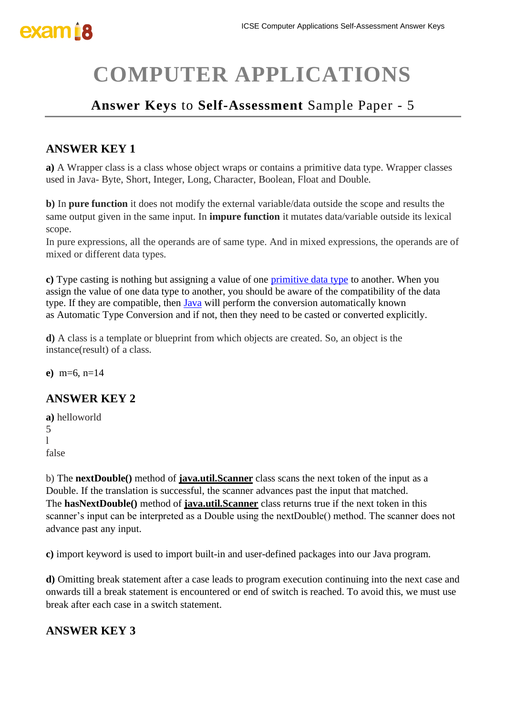# **COMPUTER APPLICATIONS**

### **Answer Keys** to **Self-Assessment** Sample Paper - 5

### **ANSWER KEY 1**

**a)** A Wrapper class is a class whose object wraps or contains a primitive data type. Wrapper classes used in Java- Byte, Short, Integer, Long, Character, Boolean, Float and Double.

**b)** In **pure function** it does not modify the external variable/data outside the scope and results the same output given in the same input. In **impure function** it mutates data/variable outside its lexical scope.

In pure expressions, all the operands are of same type. And in mixed expressions, the operands are of mixed or different data types.

**c)** Type casting is nothing but assigning a value of one [primitive data type](https://www.edureka.co/blog/data-types-in-java/) to another. When you assign the value of one data type to another, you should be aware of the compatibility of the data type. If they are compatible, then [Java](https://www.edureka.co/blog/what-is-java/) will perform the conversion automatically known as Automatic Type Conversion and if not, then they need to be casted or converted explicitly.

**d**) A class is a template or blueprint from which objects are created. So, an object is the instance(result) of a class.

**e)** m=6, n=14

### **ANSWER KEY 2**

```
a) helloworld
5
l
false
```
b) The **nextDouble()** method of **[java.util.Scanner](https://www.geeksforgeeks.org/scanner-class-in-java/)** class scans the next token of the input as a Double. If the translation is successful, the scanner advances past the input that matched. The **hasNextDouble()** method of **[java.util.Scanner](https://www.geeksforgeeks.org/scanner-class-in-java/)** class returns true if the next token in this scanner's input can be interpreted as a Double using the nextDouble() method. The scanner does not advance past any input.

**c)** import keyword is used to import built-in and user-defined packages into our Java program.

**d)** Omitting break statement after a case leads to program execution continuing into the next case and onwards till a break statement is encountered or end of switch is reached. To avoid this, we must use break after each case in a switch statement.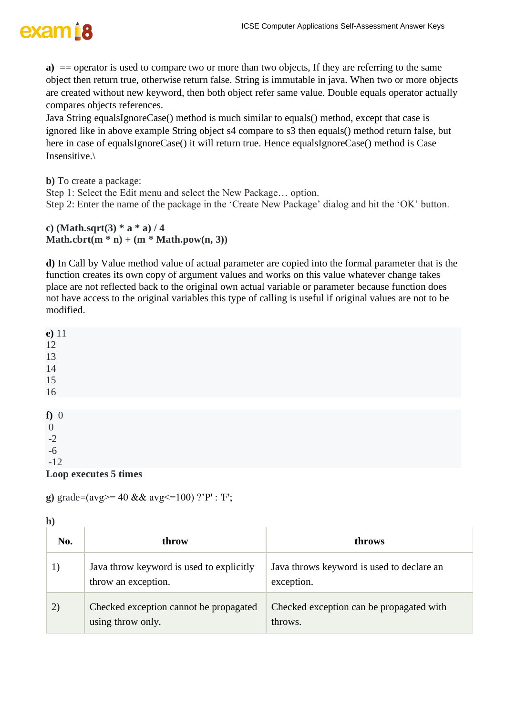

**a**) = operator is used to compare two or more than two objects, If they are referring to the same object then return true, otherwise return false. String is immutable in java. When two or more objects are created without new keyword, then both object refer same value. Double equals operator actually compares objects references.

Java String equalsIgnoreCase() method is much similar to equals() method, except that case is ignored like in above example String object s4 compare to s3 then equals() method return false, but here in case of equalsIgnoreCase() it will return true. Hence equalsIgnoreCase() method is Case Insensitive.\

**b)** To create a package:

Step 1: Select the Edit menu and select the New Package… option.

Step 2: Enter the name of the package in the 'Create New Package' dialog and hit the 'OK' button.

**c) (Math.sqrt(3) \* a \* a) / 4 Math.cbrt(m**  $*$  **n)** + (**m**  $*$  **Math.pow(n, 3)**)

**d)** In Call by Value method value of actual parameter are copied into the formal parameter that is the function creates its own copy of argument values and works on this value whatever change takes place are not reflected back to the original own actual variable or parameter because function does not have access to the original variables this type of calling is useful if original values are not to be modified.

| $e)$ 11               |  |
|-----------------------|--|
| 12                    |  |
| 13                    |  |
| 14                    |  |
| 15                    |  |
| 16                    |  |
|                       |  |
| $f)$ 0                |  |
| $\overline{0}$        |  |
| $-2$                  |  |
| $-6$                  |  |
| $-12$                 |  |
| Loop executes 5 times |  |

**g**) grade=(avg>= 40 && avg<=100) ?'P' : 'F';

**h)**

| No. | throw                                                           | throws                                                  |
|-----|-----------------------------------------------------------------|---------------------------------------------------------|
|     | Java throw keyword is used to explicitly<br>throw an exception. | Java throws keyword is used to declare an<br>exception. |
| 2)  | Checked exception cannot be propagated<br>using throw only.     | Checked exception can be propagated with<br>throws.     |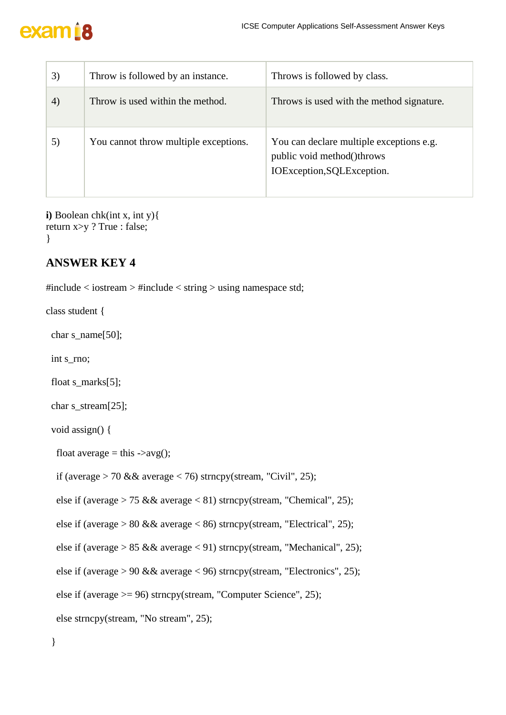| 3) | Throw is followed by an instance.     | Throws is followed by class.                                                                         |
|----|---------------------------------------|------------------------------------------------------------------------------------------------------|
| 4) | Throw is used within the method.      | Throws is used with the method signature.                                                            |
| 5) | You cannot throw multiple exceptions. | You can declare multiple exceptions e.g.<br>public void method()throws<br>IOException, SQLException. |

**i)** Boolean chk(int x, int y){ return x>y ? True : false; }

### **ANSWER KEY 4**

#include  $\lt$  iostream  $>$  #include  $\lt$  string  $>$  using namespace std;

class student {

char s\_name[50];

int s\_rno;

float s\_marks[5];

char s\_stream[25];

void assign() {

```
float average = this \rightarrowavg();
```

```
if (average > 70 && average < 76) strncpy(stream, "Civil", 25);
```
else if (average  $> 75$  && average  $< 81$ ) strncpy(stream, "Chemical", 25);

else if (average > 80 && average < 86) strncpy(stream, "Electrical", 25);

```
else if (average > 85 && average < 91) strncpy(stream, "Mechanical", 25);
```

```
else if (average > 90 & & average < 96) strncpy(stream, "Electronics", 25);
```

```
 else if (average >= 96) strncpy(stream, "Computer Science", 25);
```

```
 else strncpy(stream, "No stream", 25);
```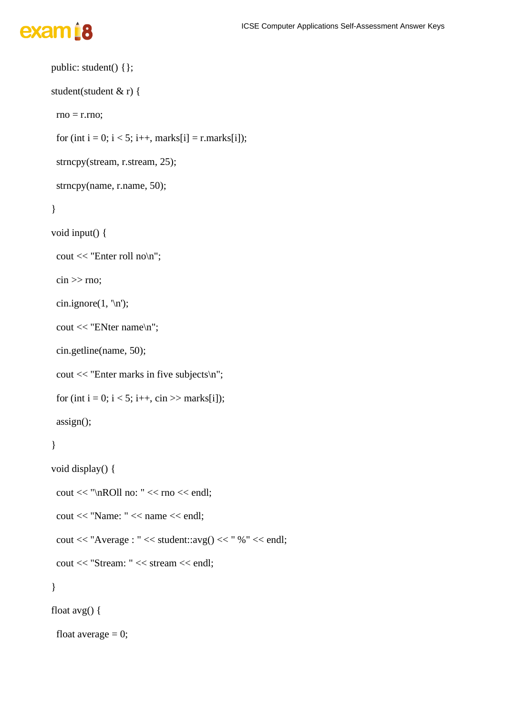# exam<sup>18</sup>

```
 public: student() {};
 student(student & r) {
 rno = r.rno;for (int i = 0; i < 5; i++, marks[i] = r.marks[i]);
 strncpy(stream, r.stream, 25);
  strncpy(name, r.name, 50);
 }
 void input() {
  cout << "Enter roll no\n";
 \sin \gg rno;
 cin.ignore(1, \ln);
  cout << "ENter name\n";
  cin.getline(name, 50);
 cout << "Enter marks in five subjects\n";
 for (int i = 0; i < 5; i++, cin >> marks[i]);
  assign();
 }
 void display() {
 cout << "\nROll no: " << rno << endl;
  cout << "Name: " << name << endl;
 cout << "Average : " << student::avg() << " % " << endl;
  cout << "Stream: " << stream << endl;
 }
 float avg() {
 float average = 0;
```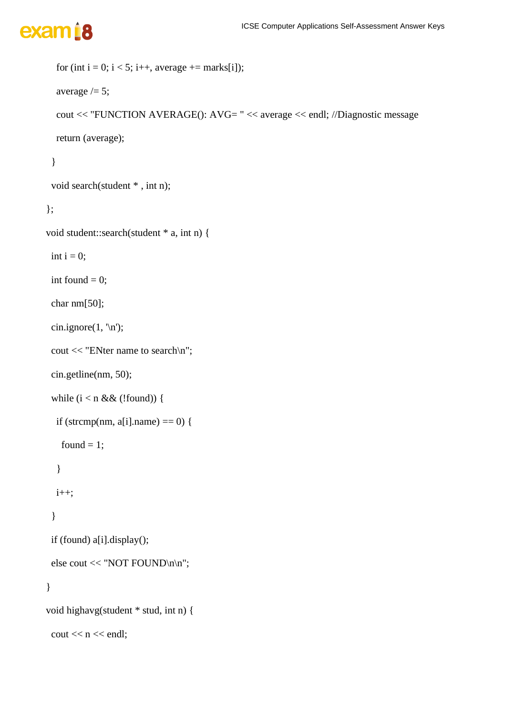```
for (int i = 0; i < 5; i++, average += marks[i]);
```

```
average / = 5;
```

```
 cout << "FUNCTION AVERAGE(): AVG= " << average << endl; //Diagnostic message
```
return (average);

### }

```
 void search(student * , int n);
```
#### };

```
void student::search(student * a, int n) {
```
int  $i = 0$ ;

int found  $= 0$ ;

char nm[50];

```
cin.ignore(1, \ln);
```

```
 cout << "ENter name to search\n";
```

```
 cin.getline(nm, 50);
```

```
while (i < n \&\& (!found)) {
```

```
if (strcmp(nm, a[i]).name) == 0) {
```

```
found = 1;
```

```
 }
```

```
 i++;
```
### }

```
 if (found) a[i].display();
```

```
 else cout << "NOT FOUND\n\n";
```

```
void highavg(student * stud, int n) {
```

```
\text{cout} \ll n \ll \text{endl};
```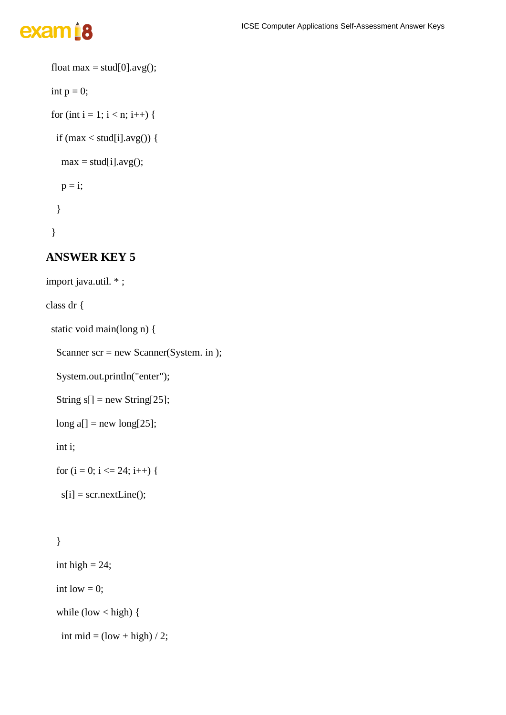```
float max = stud[0].avg();
int p = 0;
for (int i = 1; i < n; i++) {
 if (max < stud[i].avg() {
  max = stud[i].avg();p = i;
  }
 }
```
### **ANSWER KEY 5**

```
import java.util. * ;
class dr {
  static void main(long n) {
  Scanner scr = new Scanner(System. in );
```
System.out.println("enter");

```
String s[] = new String [25];
```
 $long a[] = new long[25];$ 

int i;

for  $(i = 0; i \le 24; i++)$  {

```
s[i] = scr.nextLine();
```

```
int high = 24;
int low = 0;
while \text{(low} < \text{high}) {
 int mid = \left(\text{low} + \text{high}\right) / 2;
```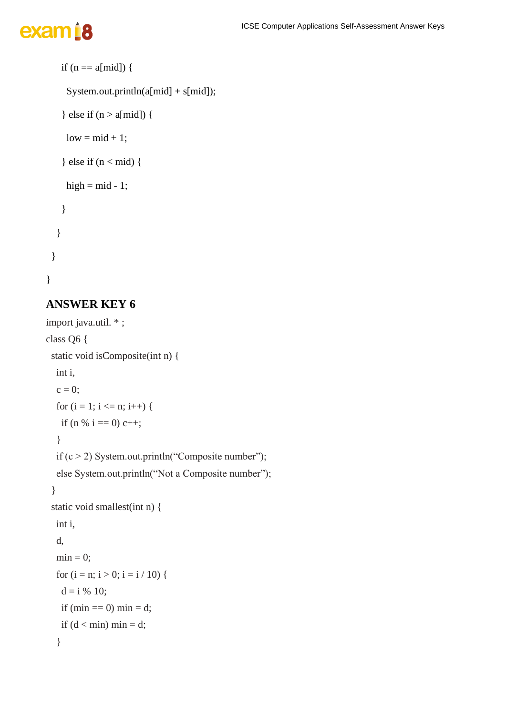# exam<sup>18</sup>

```
if (n == a[\text{mid}]) {
   System.out.println(a[mid] + s[mid]);
  } else if (n > a[mid]) {
   low = mid + 1;} else if (n < mid) {
   high = mid -1;
   }
  }
 }
```
### **ANSWER KEY 6**

```
import java.util. * ;
class Q6 {
  static void isComposite(int n) {
   int i,
  c = 0;for (i = 1; i \leq n; i++) {
    if (n % i = 0) c++;
    }
  if (c > 2) System.out.println("Composite number");
   else System.out.println("Not a Composite number");
  }
  static void smallest(int n) {
   int i,
   d,
  min = 0;for (i = n; i > 0; i = i / 10) {
    d = i \, \frac{\omega}{6} \, 10;if (min == 0) min = d;
    if (d < min) min = d;
    }
```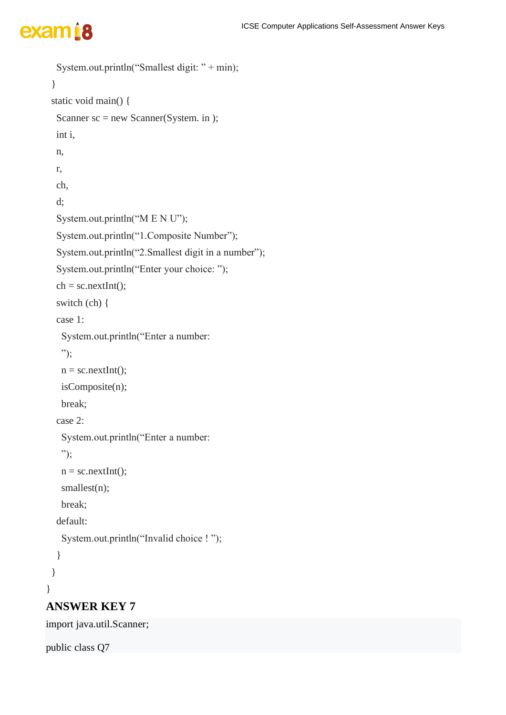```
 }
  static void main() {
  Scanner sc = new Scanner(System. in); int i,
   n,
   r,
   ch,
   d;
   System.out.println("M E N U");
   System.out.println("1.Composite Number");
   System.out.println("2.Smallest digit in a number");
   System.out.println("Enter your choice: ");
  ch = sc.nextInt();
   switch (ch) {
   case 1:
    System.out.println("Enter a number:
    ");
   n =sc.nextInt();
    isComposite(n);
    break;
   case 2:
    System.out.println("Enter a number:
    ");
   n =sc.nextInt();
   smallest(n);
    break;
   default:
    System.out.println("Invalid choice ! ");
   }
  }
}
ANSWER KEY 7
```
System.out.println("Smallest digit: " + min);

import java.util.Scanner;

public class Q7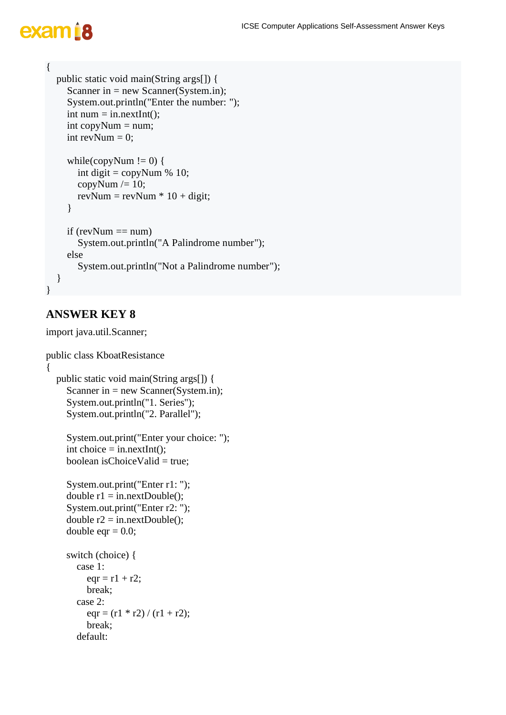```
{
   public static void main(String args[]) {
    Scanner in = new Scanner(System.in);
     System.out.println("Enter the number: ");
    int num = in.nextInt();
    int copyNum = num;
    int revNum = 0;
    while(copyNum != 0) {
       int digit = \text{copyNum } \% 10;
       copyNum /= 10;
       revNum = revNum * 10 + digit;
     }
    if (revNum == num)
        System.out.println("A Palindrome number");
     else
        System.out.println("Not a Palindrome number");
   }
}
```
### **ANSWER KEY 8**

import java.util.Scanner;

```
public class KboatResistance
{
   public static void main(String args[]) {
     Scanner in = new Scanner(System.in);
      System.out.println("1. Series");
      System.out.println("2. Parallel");
      System.out.print("Enter your choice: ");
     int choice = in.nextInt();
     boolean is Choice Valid = true:
      System.out.print("Enter r1: ");
     double r1 = in.nextDouble;
      System.out.print("Enter r2: ");
     double r2 = in.nextDouble;
     double eqr = 0.0;
      switch (choice) {
        case 1:
          eqr = r1 + r2; break;
        case 2:
          eqr = (r1 * r2) / (r1 + r2); break;
        default:
```